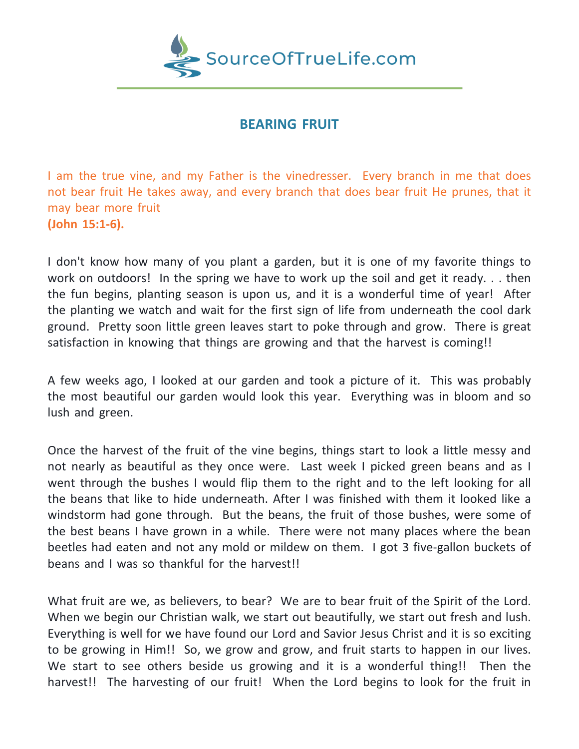

## **BEARING FRUIT**

I am the true vine, and my Father is the vinedresser. Every branch in me that does not bear fruit He takes away, and every branch that does bear fruit He prunes, that it may bear more fruit **(John 15:1-6).**

I don't know how many of you plant a garden, but it is one of my favorite things to work on outdoors! In the spring we have to work up the soil and get it ready. . . then the fun begins, planting season is upon us, and it is a wonderful time of year! After the planting we watch and wait for the first sign of life from underneath the cool dark ground. Pretty soon little green leaves start to poke through and grow. There is great satisfaction in knowing that things are growing and that the harvest is coming!!

A few weeks ago, I looked at our garden and took a picture of it. This was probably the most beautiful our garden would look this year. Everything was in bloom and so lush and green.

Once the harvest of the fruit of the vine begins, things start to look a little messy and not nearly as beautiful as they once were. Last week I picked green beans and as I went through the bushes I would flip them to the right and to the left looking for all the beans that like to hide underneath. After I was finished with them it looked like a windstorm had gone through. But the beans, the fruit of those bushes, were some of the best beans I have grown in a while. There were not many places where the bean beetles had eaten and not any mold or mildew on them. I got 3 five-gallon buckets of beans and I was so thankful for the harvest!!

What fruit are we, as believers, to bear? We are to bear fruit of the Spirit of the Lord. When we begin our Christian walk, we start out beautifully, we start out fresh and lush. Everything is well for we have found our Lord and Savior Jesus Christ and it is so exciting to be growing in Him!! So, we grow and grow, and fruit starts to happen in our lives. We start to see others beside us growing and it is a wonderful thing!! Then the harvest!! The harvesting of our fruit! When the Lord begins to look for the fruit in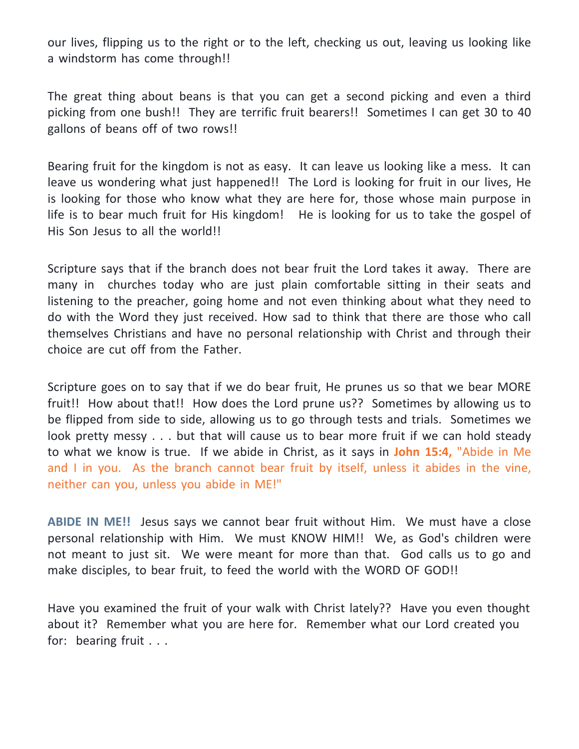our lives, flipping us to the right or to the left, checking us out, leaving us looking like a windstorm has come through!!

The great thing about beans is that you can get a second picking and even a third picking from one bush!! They are terrific fruit bearers!! Sometimes I can get 30 to 40 gallons of beans off of two rows!!

Bearing fruit for the kingdom is not as easy. It can leave us looking like a mess. It can leave us wondering what just happened!! The Lord is looking for fruit in our lives, He is looking for those who know what they are here for, those whose main purpose in life is to bear much fruit for His kingdom! He is looking for us to take the gospel of His Son Jesus to all the world!!

Scripture says that if the branch does not bear fruit the Lord takes it away. There are many in churches today who are just plain comfortable sitting in their seats and listening to the preacher, going home and not even thinking about what they need to do with the Word they just received. How sad to think that there are those who call themselves Christians and have no personal relationship with Christ and through their choice are cut off from the Father.

Scripture goes on to say that if we do bear fruit, He prunes us so that we bear MORE fruit!! How about that!! How does the Lord prune us?? Sometimes by allowing us to be flipped from side to side, allowing us to go through tests and trials. Sometimes we look pretty messy . . . but that will cause us to bear more fruit if we can hold steady to what we know is true. If we abide in Christ, as it says in **John 15:4,** "Abide in Me and I in you. As the branch cannot bear fruit by itself, unless it abides in the vine, neither can you, unless you abide in ME!"

**ABIDE IN ME!!** Jesus says we cannot bear fruit without Him. We must have a close personal relationship with Him. We must KNOW HIM!! We, as God's children were not meant to just sit. We were meant for more than that. God calls us to go and make disciples, to bear fruit, to feed the world with the WORD OF GOD!!

Have you examined the fruit of your walk with Christ lately?? Have you even thought about it? Remember what you are here for. Remember what our Lord created you for: bearing fruit . . .